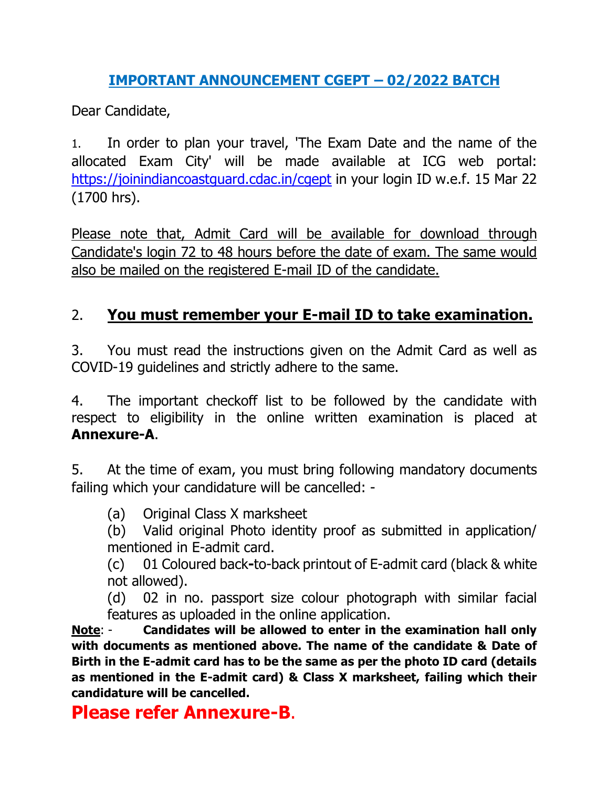## **IMPORTANT ANNOUNCEMENT CGEPT – 02/2022 BATCH**

Dear Candidate,

1. In order to plan your travel, 'The Exam Date and the name of the allocated Exam City' will be made available at ICG web portal: <https://joinindiancoastguard.cdac.in/cgept> in your login ID w.e.f. 15 Mar 22 (1700 hrs).

Please note that, Admit Card will be available for download through Candidate's login 72 to 48 hours before the date of exam. The same would also be mailed on the registered E-mail ID of the candidate.

## 2. **You must remember your E-mail ID to take examination.**

3. You must read the instructions given on the Admit Card as well as COVID-19 guidelines and strictly adhere to the same.

4. The important checkoff list to be followed by the candidate with respect to eligibility in the online written examination is placed at **Annexure-A**.

5. At the time of exam, you must bring following mandatory documents failing which your candidature will be cancelled: -

(a) Original Class X marksheet

(b) Valid original Photo identity proof as submitted in application/ mentioned in E-admit card.

(c) 01 Coloured back**-**to-back printout of E-admit card (black & white not allowed).

(d) 02 in no. passport size colour photograph with similar facial features as uploaded in the online application.

**Note**: - **Candidates will be allowed to enter in the examination hall only with documents as mentioned above. The name of the candidate & Date of Birth in the E-admit card has to be the same as per the photo ID card (details as mentioned in the E-admit card) & Class X marksheet, failing which their candidature will be cancelled.** 

# **Please refer Annexure-B**.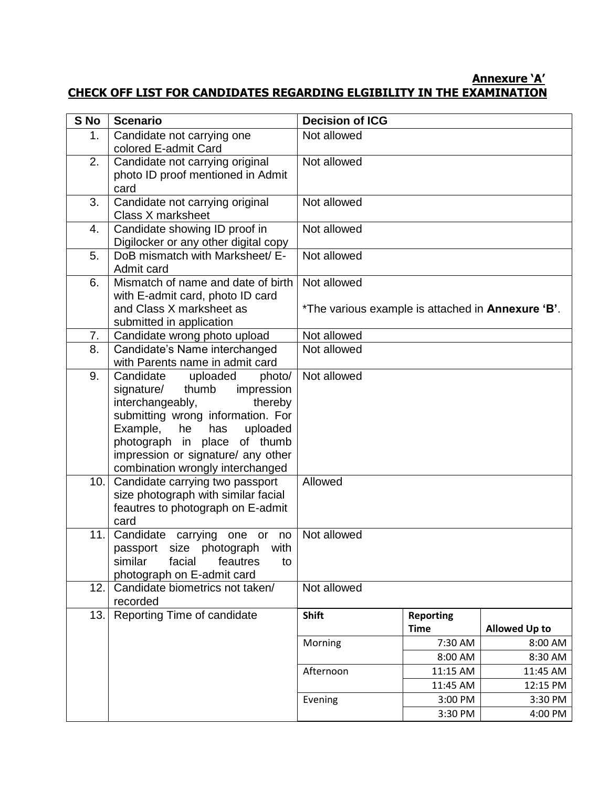#### **Annexure 'A' CHECK OFF LIST FOR CANDIDATES REGARDING ELGIBILITY IN THE EXAMINATION**

| S No | <b>Scenario</b>                                                                                                                                                                                                                                                                   | <b>Decision of ICG</b>                                                   |                                 |                      |  |  |
|------|-----------------------------------------------------------------------------------------------------------------------------------------------------------------------------------------------------------------------------------------------------------------------------------|--------------------------------------------------------------------------|---------------------------------|----------------------|--|--|
| 1.   | Candidate not carrying one<br>colored E-admit Card                                                                                                                                                                                                                                | Not allowed                                                              |                                 |                      |  |  |
| 2.   | Candidate not carrying original<br>photo ID proof mentioned in Admit<br>card                                                                                                                                                                                                      | Not allowed                                                              |                                 |                      |  |  |
| 3.   | Candidate not carrying original<br>Class X marksheet                                                                                                                                                                                                                              | Not allowed                                                              |                                 |                      |  |  |
| 4.   | Candidate showing ID proof in<br>Digilocker or any other digital copy                                                                                                                                                                                                             | Not allowed                                                              |                                 |                      |  |  |
| 5.   | DoB mismatch with Marksheet/ E-<br>Admit card                                                                                                                                                                                                                                     | Not allowed                                                              |                                 |                      |  |  |
| 6.   | Mismatch of name and date of birth<br>with E-admit card, photo ID card<br>and Class X marksheet as<br>submitted in application                                                                                                                                                    | Not allowed<br>*The various example is attached in <b>Annexure 'B'</b> . |                                 |                      |  |  |
| 7.   | Candidate wrong photo upload                                                                                                                                                                                                                                                      | Not allowed                                                              |                                 |                      |  |  |
| 8.   | Candidate's Name interchanged<br>with Parents name in admit card                                                                                                                                                                                                                  | Not allowed                                                              |                                 |                      |  |  |
| 9.   | Candidate<br>uploaded<br>photo/<br>thumb impression<br>signature/<br>interchangeably,<br>thereby<br>submitting wrong information. For<br>Example, he<br>has<br>uploaded<br>photograph in place of thumb<br>impression or signature/ any other<br>combination wrongly interchanged | Not allowed                                                              |                                 |                      |  |  |
| 10.  | Candidate carrying two passport<br>size photograph with similar facial<br>feautres to photograph on E-admit<br>card                                                                                                                                                               | Allowed                                                                  |                                 |                      |  |  |
| 11.  | Candidate carrying one or<br>no<br>size photograph<br>passport<br>with<br>facial<br>similar<br>feautres<br>to<br>photograph on E-admit card                                                                                                                                       | Not allowed                                                              |                                 |                      |  |  |
| 12.  | Candidate biometrics not taken/<br>recorded                                                                                                                                                                                                                                       | Not allowed                                                              |                                 |                      |  |  |
| 13.  | Reporting Time of candidate                                                                                                                                                                                                                                                       | <b>Shift</b>                                                             | <b>Reporting</b><br><b>Time</b> | <b>Allowed Up to</b> |  |  |
|      |                                                                                                                                                                                                                                                                                   | Morning                                                                  | 7:30 AM                         | 8:00 AM              |  |  |
|      |                                                                                                                                                                                                                                                                                   |                                                                          | 8:00 AM                         | 8:30 AM              |  |  |
|      |                                                                                                                                                                                                                                                                                   | Afternoon                                                                | 11:15 AM                        | 11:45 AM             |  |  |
|      |                                                                                                                                                                                                                                                                                   |                                                                          | 11:45 AM                        | 12:15 PM             |  |  |
|      |                                                                                                                                                                                                                                                                                   | Evening                                                                  | 3:00 PM                         | 3:30 PM              |  |  |
|      |                                                                                                                                                                                                                                                                                   |                                                                          | 3:30 PM                         | 4:00 PM              |  |  |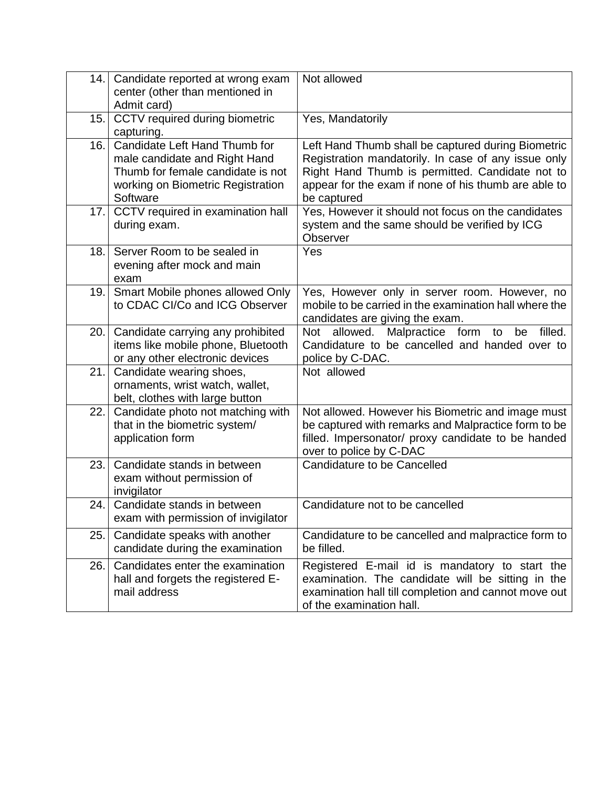| 14. | Candidate reported at wrong exam<br>center (other than mentioned in<br>Admit card)                                                                   | Not allowed                                                                                                                                                                                                                         |
|-----|------------------------------------------------------------------------------------------------------------------------------------------------------|-------------------------------------------------------------------------------------------------------------------------------------------------------------------------------------------------------------------------------------|
| 15. | CCTV required during biometric<br>capturing.                                                                                                         | Yes, Mandatorily                                                                                                                                                                                                                    |
| 16. | Candidate Left Hand Thumb for<br>male candidate and Right Hand<br>Thumb for female candidate is not<br>working on Biometric Registration<br>Software | Left Hand Thumb shall be captured during Biometric<br>Registration mandatorily. In case of any issue only<br>Right Hand Thumb is permitted. Candidate not to<br>appear for the exam if none of his thumb are able to<br>be captured |
| 17. | CCTV required in examination hall<br>during exam.                                                                                                    | Yes, However it should not focus on the candidates<br>system and the same should be verified by ICG<br>Observer                                                                                                                     |
| 18. | Server Room to be sealed in<br>evening after mock and main<br>exam                                                                                   | Yes                                                                                                                                                                                                                                 |
| 19. | Smart Mobile phones allowed Only<br>to CDAC CI/Co and ICG Observer                                                                                   | Yes, However only in server room. However, no<br>mobile to be carried in the examination hall where the<br>candidates are giving the exam.                                                                                          |
| 20. | Candidate carrying any prohibited<br>items like mobile phone, Bluetooth<br>or any other electronic devices                                           | Malpractice form<br>Not allowed.<br>filled.<br>to<br>be<br>Candidature to be cancelled and handed over to<br>police by C-DAC.                                                                                                       |
| 21. | Candidate wearing shoes,<br>ornaments, wrist watch, wallet,<br>belt, clothes with large button                                                       | Not allowed                                                                                                                                                                                                                         |
| 22. | Candidate photo not matching with<br>that in the biometric system/<br>application form                                                               | Not allowed. However his Biometric and image must<br>be captured with remarks and Malpractice form to be<br>filled. Impersonator/ proxy candidate to be handed<br>over to police by C-DAC                                           |
| 23. | Candidate stands in between<br>exam without permission of<br>invigilator                                                                             | Candidature to be Cancelled                                                                                                                                                                                                         |
| 24. | Candidate stands in between<br>exam with permission of invigilator                                                                                   | Candidature not to be cancelled                                                                                                                                                                                                     |
| 25. | Candidate speaks with another<br>candidate during the examination                                                                                    | Candidature to be cancelled and malpractice form to<br>be filled.                                                                                                                                                                   |
| 26. | Candidates enter the examination<br>hall and forgets the registered E-<br>mail address                                                               | Registered E-mail id is mandatory to start the<br>examination. The candidate will be sitting in the<br>examination hall till completion and cannot move out<br>of the examination hall.                                             |